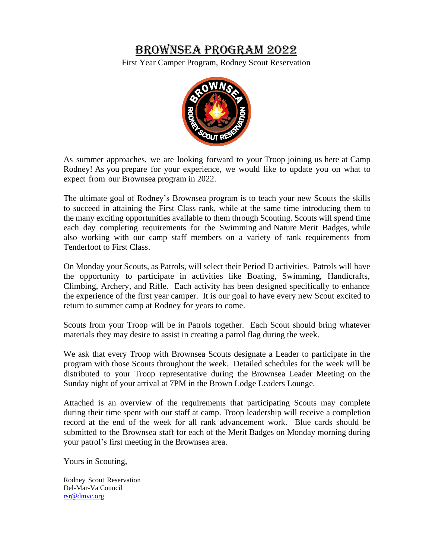# BROWNSEA PROGRAM 2022

First Year Camper Program, Rodney Scout Reservation



As summer approaches, we are looking forward to your Troop joining us here at Camp Rodney! As you prepare for your experience, we would like to update you on what to expect from our Brownsea program in 2022.

The ultimate goal of Rodney's Brownsea program is to teach your new Scouts the skills to succeed in attaining the First Class rank, while at the same time introducing them to the many exciting opportunities available to them through Scouting. Scouts will spend time each day completing requirements for the Swimming and Nature Merit Badges, while also working with our camp staff members on a variety of rank requirements from Tenderfoot to First Class.

On Monday your Scouts, as Patrols, will select their Period D activities. Patrols will have the opportunity to participate in activities like Boating, Swimming, Handicrafts, Climbing, Archery, and Rifle. Each activity has been designed specifically to enhance the experience of the first year camper. It is our goal to have every new Scout excited to return to summer camp at Rodney for years to come.

Scouts from your Troop will be in Patrols together. Each Scout should bring whatever materials they may desire to assist in creating a patrol flag during the week.

We ask that every Troop with Brownsea Scouts designate a Leader to participate in the program with those Scouts throughout the week. Detailed schedules for the week will be distributed to your Troop representative during the Brownsea Leader Meeting on the Sunday night of your arrival at 7PM in the Brown Lodge Leaders Lounge.

Attached is an overview of the requirements that participating Scouts may complete during their time spent with our staff at camp. Troop leadership will receive a completion record at the end of the week for all rank advancement work. Blue cards should be submitted to the Brownsea staff for each of the Merit Badges on Monday morning during your patrol's first meeting in the Brownsea area.

Yours in Scouting,

Rodney Scout Reservation Del-Mar-Va Council [rsr@dmvc.org](mailto:rsr@dmvc.org)